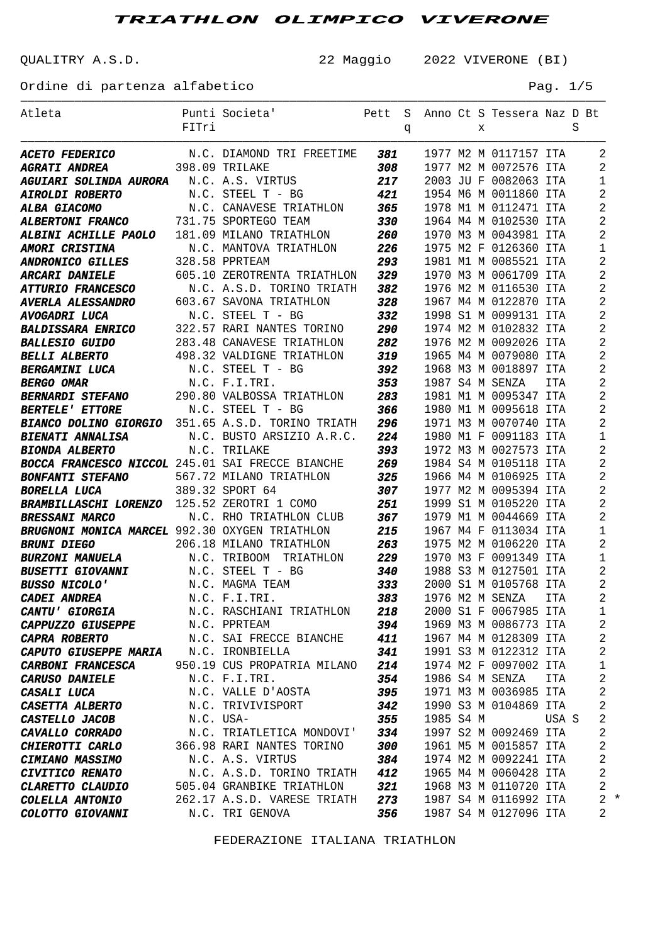QUALITRY A.S.D. 22 Maggio 2022 VIVERONE (BI)

Ordine di partenza alfabetico Pag. 1/5

| Atleta                                                                                         |           | Punti Societa'<br>Pett          |                   |   |           |   | S Anno Ct S Tessera Naz D Bt |       |   |                |
|------------------------------------------------------------------------------------------------|-----------|---------------------------------|-------------------|---|-----------|---|------------------------------|-------|---|----------------|
|                                                                                                | FITri     |                                 |                   | q |           | X |                              |       | S |                |
|                                                                                                |           |                                 |                   |   |           |   | 1977 M2 M 0117157 ITA        |       |   | 2              |
| <b>ACETO FEDERICO</b> M.C. DIAMOND TRI FREETIME 381<br><b>AGRATI ANDREA</b> 398.09 TRILAKE 308 |           |                                 |                   |   |           |   | 1977 M2 M 0072576 ITA        |       |   | 2              |
| AGUIARI SOLINDA AURORA N.C. A.S. VIRTUS                                                        |           |                                 | 217               |   |           |   | 2003 JU F 0082063 ITA        |       |   | 1              |
| <b>AIROLDI ROBERTO</b>                                                                         |           | N.C. STEEL T - BG               | 421               |   |           |   | 1954 M6 M 0011860 ITA        |       |   | 2              |
|                                                                                                |           |                                 | 365               |   |           |   | 1978 M1 M 0112471 ITA        |       |   | 2              |
| <b>ALBA GIACOMO</b> N.C. CANAVESE TRIATHLON<br><b>ALBERTONI FRANCO</b> 731.75 SPORTEGO TEAM    |           |                                 | 330               |   |           |   | 1964 M4 M 0102530 ITA        |       |   | 2              |
| ALBINI ACHILLE PAOLO 181.09 MILANO TRIATHLON                                                   |           |                                 | 260               |   |           |   | 1970 M3 M 0043981 ITA        |       |   | 2              |
| <b>AMORI CRISTINA</b>                                                                          |           | N.C. MANTOVA TRIATHLON 226      |                   |   |           |   | 1975 M2 F 0126360 ITA        |       |   | 1              |
| <b>ANDRONICO GILLES</b>                                                                        |           | 328.58 PPRTEAM                  | 293               |   |           |   | 1981 M1 M 0085521 ITA        |       |   | 2              |
|                                                                                                |           | 605.10 ZEROTRENTA TRIATHLON 329 |                   |   |           |   | 1970 M3 M 0061709 ITA        |       |   | 2              |
| <b>ARCARI DANIELE<br/>ATTURIO FRANCESCO</b>                                                    |           | N.C. A.S.D. TORINO TRIATH       | 382               |   |           |   | 1976 M2 M 0116530 ITA        |       |   | 2              |
| <b>AVERLA ALESSANDRO</b>                                                                       |           | 603.67 SAVONA TRIATHLON         | 328               |   |           |   | 1967 M4 M 0122870 ITA        |       |   | 2              |
| <b>AVOGADRI LUCA</b>                                                                           |           | N.C. STEEL T - BG               | 332               |   |           |   | 1998 S1 M 0099131 ITA        |       |   | 2              |
| <b>BALDISSARA ENRICO</b>                                                                       |           | 322.57 RARI NANTES TORINO 290   |                   |   |           |   | 1974 M2 M 0102832 ITA        |       |   | 2              |
| <b>BALLESIO GUIDO</b>                                                                          |           | 283.48 CANAVESE TRIATHLON 282   |                   |   |           |   | 1976 M2 M 0092026 ITA        |       |   | 2              |
| <b>BELLI ALBERTO</b>                                                                           |           | 498.32 VALDIGNE TRIATHLON       | 319               |   |           |   | 1965 M4 M 0079080 ITA        |       |   | 2              |
| <b>BERGAMINI LUCA</b>                                                                          |           | N.C. STEEL T - BG               | $\frac{392}{352}$ |   |           |   | 1968 M3 M 0018897 ITA        |       |   | 2              |
| <b>BERGO OMAR</b>                                                                              |           | N.C. F.I.TRI.                   | 353               |   |           |   | 1987 S4 M SENZA              | ITA   |   | 2              |
| <b>BERNARDI STEFANO</b> 290.80 VALBOSSA TRIATHLON 283                                          |           |                                 |                   |   |           |   | 1981 M1 M 0095347 ITA        |       |   | 2              |
| <b>BERTELE' ETTORE</b>                                                                         |           | N.C. STEEL T - BG               | 366               |   |           |   | 1980 M1 M 0095618 ITA        |       |   | 2              |
| BIANCO DOLINO GIORGIO 351.65 A.S.D. TORINO TRIATH                                              |           |                                 | 296               |   |           |   | 1971 M3 M 0070740 ITA        |       |   | 2              |
| <b>BIENATI ANNALISA</b>                                                                        |           | N.C. BUSTO ARSIZIO A.R.C.       | 224               |   |           |   | 1980 M1 F 0091183 ITA        |       |   | 1              |
| <b>BIONDA ALBERTO</b>                                                                          |           | N.C. TRILAKE                    | 393               |   |           |   | 1972 M3 M 0027573 ITA        |       |   | 2              |
| BOCCA FRANCESCO NICCOL 245.01 SAI FRECCE BIANCHE                                               |           |                                 | 269               |   |           |   | 1984 S4 M 0105118 ITA        |       |   | 2              |
| <b>BONFANTI STEFANO</b> 567.72 MILANO TRIATHLON                                                |           |                                 | 325               |   |           |   | 1966 M4 M 0106925 ITA        |       |   | 2              |
| <b>BORELLA LUCA</b>                                                                            |           | 389.32 SPORT 64                 | 307<br>251        |   |           |   | 1977 M2 M 0095394 ITA        |       |   | 2              |
| BRAMBILLASCHI LORENZO 125.52 ZEROTRI 1 COMO                                                    |           |                                 |                   |   |           |   | 1999 S1 M 0105220 ITA        |       |   | 2              |
| <b>BRESSANI MARCO</b>                                                                          |           | N.C. RHO TRIATHLON CLUB         | 367               |   |           |   | 1979 M1 M 0044669 ITA        |       |   | 2              |
| BRUGNONI MONICA MARCEL 992.30 OXYGEN TRIATHLON                                                 |           |                                 | 215               |   |           |   | 1967 M4 F 0113034 ITA        |       |   | 1              |
| <b>BRUNI DIEGO</b>                                                                             |           | 206.18 MILANO TRIATHLON         | 263               |   |           |   | 1975 M2 M 0106220 ITA        |       |   | 2              |
| <b>BURZONI MANUELA</b>                                                                         |           | N.C. TRIBOOM TRIATHLON 229      |                   |   |           |   | 1970 M3 F 0091349 ITA        |       |   | 1              |
| <b>BUSETTI GIOVANNI</b> N.C. STEEL T - BG                                                      |           |                                 | 340               |   |           |   | 1988 S3 M 0127501 ITA        |       |   | 2              |
| <b>BUSSO NICOLO'</b>                                                                           |           | N.C. MAGMA TEAM                 | 333               |   |           |   | 2000 S1 M 0105768 ITA        |       |   | 2              |
| <b>CADEI ANDREA</b>                                                                            |           | N.C. F.I.TRI.                   | 383               |   |           |   | 1976 M2 M SENZA ITA          |       |   | $\overline{a}$ |
| <b>CANTU' GIORGIA</b>                                                                          |           | N.C. RASCHIANI TRIATHLON        | 218               |   |           |   | 2000 S1 F 0067985 ITA        |       |   | 1              |
| <b>CAPPUZZO GIUSEPPE</b>                                                                       |           | N.C. PPRTEAM                    | 394               |   |           |   | 1969 M3 M 0086773 ITA        |       |   | $\overline{2}$ |
| <b>CAPRA ROBERTO</b>                                                                           |           | N.C. SAI FRECCE BIANCHE 411     |                   |   |           |   | 1967 M4 M 0128309 ITA        |       |   | $\overline{a}$ |
| <b>CAPUTO GIUSEPPE MARIA M.C. IRONBIELLA</b>                                                   |           |                                 | 341               |   |           |   | 1991 S3 M 0122312 ITA        |       |   | $\overline{a}$ |
| <b>CARBONI FRANCESCA</b>                                                                       |           | 950.19 CUS PROPATRIA MILANO 214 |                   |   |           |   | 1974 M2 F 0097002 ITA        |       |   | $\mathbf 1$    |
| <b>CARUSO DANIELE</b>                                                                          |           | N.C. F.I.TRI.                   | 354               |   |           |   | 1986 S4 M SENZA              | ITA   |   | $\overline{a}$ |
| <i>CASALI LUCA</i>                                                                             |           | N.C. VALLE D'AOSTA              | 395               |   |           |   | 1971 M3 M 0036985 ITA        |       |   | $\overline{a}$ |
| <b>CASETTA ALBERTO</b>                                                                         |           | N.C. TRIVIVISPORT               | 342               |   |           |   | 1990 S3 M 0104869 ITA        |       |   | $\overline{a}$ |
| <b>CASTELLO JACOB</b>                                                                          | N.C. USA- |                                 | 355               |   | 1985 S4 M |   |                              | USA S |   | $\overline{2}$ |
| <b>CAVALLO CORRADO</b>                                                                         |           | N.C. TRIATLETICA MONDOVI' 334   |                   |   |           |   | 1997 S2 M 0092469 ITA        |       |   | $\overline{2}$ |
| <b>CHIEROTTI CARLO</b>                                                                         |           | 366.98 RARI NANTES TORINO       | 300               |   |           |   | 1961 M5 M 0015857 ITA        |       |   | $\overline{a}$ |
| <b>CIMIANO MASSIMO</b>                                                                         |           | N.C. A.S. VIRTUS                | 384               |   |           |   | 1974 M2 M 0092241 ITA        |       |   | $\overline{a}$ |
| <b>CIVITICO RENATO</b>                                                                         |           | N.C. A.S.D. TORINO TRIATH 412   |                   |   |           |   | 1965 M4 M 0060428 ITA        |       |   | $\overline{a}$ |
| <b>CLARETTO CLAUDIO</b>                                                                        |           | 505.04 GRANBIKE TRIATHLON       | 321               |   |           |   | 1968 M3 M 0110720 ITA        |       |   | $\overline{2}$ |
| <b>COLELLA ANTONIO</b>                                                                         |           | 262.17 A.S.D. VARESE TRIATH 273 |                   |   |           |   | 1987 S4 M 0116992 ITA        |       |   | $2 *$          |
| <b>COLOTTO GIOVANNI</b>                                                                        |           | N.C. TRI GENOVA                 | 356               |   |           |   | 1987 S4 M 0127096 ITA        |       |   | 2              |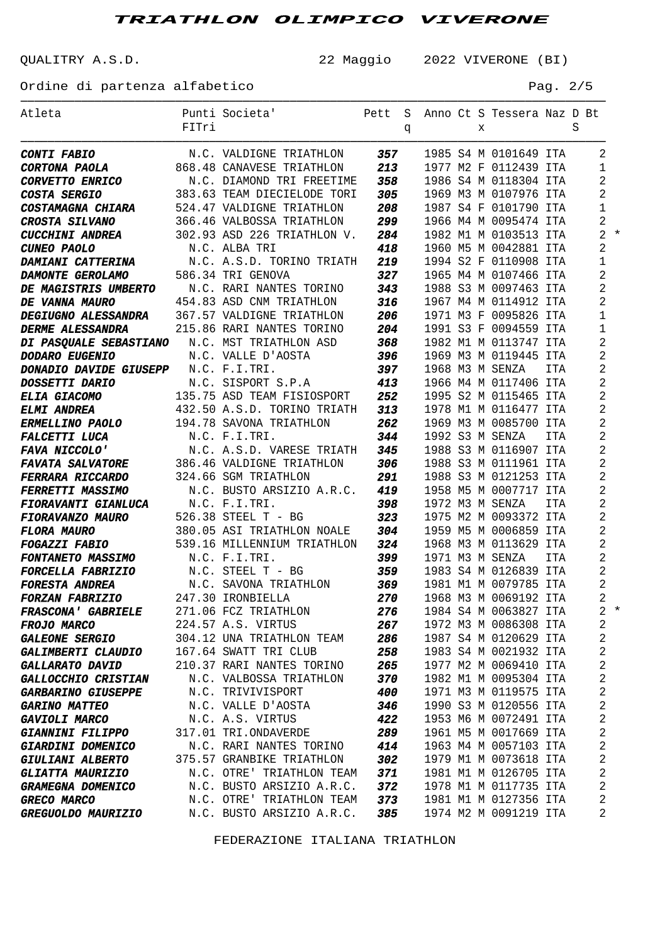QUALITRY A.S.D. 22 Maggio 2022 VIVERONE (BI)

Ordine di partenza alfabetico e pagosto e Pag. 2/5

| Atleta                                        | FITri | Punti Societa' Pett                                      |     |   |  |   | S Anno Ct S Tessera Naz D Bt |            | S |                |       |
|-----------------------------------------------|-------|----------------------------------------------------------|-----|---|--|---|------------------------------|------------|---|----------------|-------|
|                                               |       |                                                          |     | q |  | X |                              |            |   |                |       |
| <b>CONTI FABIO</b>                            |       |                                                          |     |   |  |   | 1985 S4 M 0101649 ITA        |            |   | 2              |       |
| <b>CORTONA PAOLA</b>                          |       | 868.48 CANAVESE TRIATHLON                                | 213 |   |  |   | 1977 M2 F 0112439 ITA        |            |   | $\mathbf{1}$   |       |
| <i>CORVETTO ENRICO</i>                        |       | N.C. DIAMOND TRI FREETIME                                | 358 |   |  |   | 1986 S4 M 0118304 ITA        |            |   | 2              |       |
| <b>COSTA SERGIO</b>                           |       | 383.63 TEAM DIECIELODE TORI                              | 305 |   |  |   | 1969 M3 M 0107976 ITA        |            |   | 2              |       |
| <b>COSTAMAGNA CHIARA</b>                      |       | 524.47 VALDIGNE TRIATHLON                                | 208 |   |  |   | 1987 S4 F 0101790 ITA        |            |   | 1              |       |
| <b>CROSTA SILVANO</b>                         |       | 366.46 VALBOSSA TRIATHLON                                | 299 |   |  |   | 1966 M4 M 0095474 ITA        |            |   | $\overline{c}$ |       |
| <b>CUCCHINI ANDREA</b>                        |       | 302.93 ASD 226 TRIATHLON V.                              | 284 |   |  |   | 1982 M1 M 0103513 ITA        |            |   |                | $2 *$ |
| <b>CUNEO PAOLO</b>                            |       | N.C. ALBA TRI                                            | 418 |   |  |   | 1960 M5 M 0042881 ITA        |            |   | $\overline{2}$ |       |
| <b>DAMIANI CATTERINA</b>                      |       | N.C. A.S.D. TORINO TRIATH                                | 219 |   |  |   | 1994 S2 F 0110908 ITA        |            |   | 1              |       |
| <b>DAMONTE GEROLAMO</b>                       |       | 586.34 TRI GENOVA                                        | 327 |   |  |   | 1965 M4 M 0107466 ITA        |            |   | $\overline{2}$ |       |
| DE MAGISTRIS UMBERTO N.C. RARI NANTES TORINO  |       |                                                          | 343 |   |  |   | 1988 S3 M 0097463 ITA        |            |   | 2              |       |
| DE VANNA MAURO                                |       | 454.83 ASD CNM TRIATHLON                                 | 316 |   |  |   | 1967 M4 M 0114912 ITA        |            |   | 2              |       |
| DEGIUGNO ALESSANDRA 367.57 VALDIGNE TRIATHLON |       |                                                          | 206 |   |  |   | 1971 M3 F 0095826 ITA        |            |   | 1              |       |
| <b>DERME ALESSANDRA</b>                       |       | 215.86 RARI NANTES TORINO                                | 204 |   |  |   | 1991 S3 F 0094559 ITA        |            |   | 1              |       |
| DI PASQUALE SEBASTIANO N.C. MST TRIATHLON ASD |       |                                                          | 368 |   |  |   | 1982 M1 M 0113747 ITA        |            |   | 2              |       |
| <b>DODARO EUGENIO</b>                         |       | N.C. VALLE D'AOSTA                                       | 396 |   |  |   | 1969 M3 M 0119445 ITA        |            |   | 2              |       |
| <b>DONADIO DAVIDE GIUSEPP N.C. F.I.TRI.</b>   |       |                                                          | 397 |   |  |   | 1968 M3 M SENZA              | <b>ITA</b> |   | $\overline{2}$ |       |
| <b>DOSSETTI DARIO</b>                         |       | N.C. SISPORT S.P.A 413<br>135.75 ASD TEAM FISIOSPORT 252 |     |   |  |   | 1966 M4 M 0117406 ITA        |            |   | $\overline{2}$ |       |
| <b>ELIA GIACOMO</b>                           |       |                                                          |     |   |  |   | 1995 S2 M 0115465 ITA        |            |   | 2              |       |
| <b>ELMI ANDREA</b>                            |       | 432.50 A.S.D. TORINO TRIATH                              | 313 |   |  |   | 1978 M1 M 0116477 ITA        |            |   | 2              |       |
| <b>ERMELLINO PAOLO</b>                        |       | 194.78 SAVONA TRIATHLON                                  | 262 |   |  |   | 1969 M3 M 0085700 ITA        |            |   | 2              |       |
| <b>FALCETTI LUCA</b>                          |       | N.C. F.I.TRI.                                            | 344 |   |  |   | 1992 S3 M SENZA              | <b>ITA</b> |   | 2              |       |
| <b>FAVA NICCOLO'</b>                          |       | N.C. A.S.D. VARESE TRIATH                                | 345 |   |  |   | 1988 S3 M 0116907 ITA        |            |   | 2              |       |
| <b>FAVATA SALVATORE</b>                       |       | 386.46 VALDIGNE TRIATHLON                                | 306 |   |  |   | 1988 S3 M 0111961 ITA        |            |   | 2              |       |
| <b>FERRARA RICCARDO</b>                       |       | 324.66 SGM TRIATHLON                                     | 291 |   |  |   | 1988 S3 M 0121253 ITA        |            |   | 2              |       |
| <b>FERRETTI MASSIMO</b>                       |       | N.C. BUSTO ARSIZIO A.R.C. 419                            |     |   |  |   | 1958 M5 M 0007717 ITA        |            |   | 2              |       |
| <b>FIORAVANTI GIANLUCA</b>                    |       | N.C. F.I.TRI.                                            | 398 |   |  |   | 1972 M3 M SENZA              | <b>ITA</b> |   | 2              |       |
| <b>FIORAVANZO MAURO</b>                       |       | 526.38 STEEL T - BG                                      | 323 |   |  |   | 1975 M2 M 0093372 ITA        |            |   | 2              |       |
| <b>FLORA MAURO</b>                            |       | 380.05 ASI TRIATHLON NOALE                               | 304 |   |  |   | 1959 M5 M 0006859 ITA        |            |   | $\overline{c}$ |       |
| <b>FOGAZZI FABIO</b>                          |       | 539.16 MILLENNIUM TRIATHLON                              | 324 |   |  |   | 1968 M3 M 0113629 ITA        |            |   | 2              |       |
| <b>FONTANETO MASSIMO</b>                      |       | N.C. F.I.TRI.                                            | 399 |   |  |   | 1971 M3 M SENZA              | <b>ITA</b> |   | 2              |       |
| <b>FORCELLA FABRIZIO</b>                      |       | N.C. STEEL T - BG                                        | 359 |   |  |   | 1983 S4 M 0126839 ITA        |            |   | 2              |       |
| <b>FORESTA ANDREA</b>                         |       | N.C. SAVONA TRIATHLON                                    | 369 |   |  |   | 1981 M1 M 0079785 ITA        |            |   | 2              |       |
| <b>FORZAN FABRIZIO</b>                        |       | 247.30 IRONBIELLA                                        |     |   |  |   | 270 1968 M3 M 0069192 ITA    |            |   | $\overline{a}$ |       |
| <b>FRASCONA' GABRIELE</b>                     |       | 271.06 FCZ TRIATHLON                                     | 276 |   |  |   | 1984 S4 M 0063827 ITA        |            |   |                | $2 *$ |
| <b>FROJO MARCO</b>                            |       | 224.57 A.S. VIRTUS                                       | 267 |   |  |   | 1972 M3 M 0086308 ITA        |            |   | 2              |       |
| <i><b>GALEONE SERGIO</b></i>                  |       | 304.12 UNA TRIATHLON TEAM                                | 286 |   |  |   | 1987 S4 M 0120629 ITA        |            |   | 2              |       |
| <i><b>GALIMBERTI CLAUDIO</b></i>              |       | 167.64 SWATT TRI CLUB                                    | 258 |   |  |   | 1983 S4 M 0021932 ITA        |            |   | 2              |       |
| <b>GALLARATO DAVID</b>                        |       | 210.37 RARI NANTES TORINO                                | 265 |   |  |   | 1977 M2 M 0069410 ITA        |            |   | 2              |       |
| <b>GALLOCCHIO CRISTIAN</b>                    |       | N.C. VALBOSSA TRIATHLON                                  | 370 |   |  |   | 1982 M1 M 0095304 ITA        |            |   | 2              |       |
| <i><b>GARBARINO GIUSEPPE</b></i>              |       | N.C. TRIVIVISPORT                                        | 400 |   |  |   | 1971 M3 M 0119575 ITA        |            |   | $\overline{c}$ |       |
| <b>GARINO MATTEO</b>                          |       | N.C. VALLE D'AOSTA                                       | 346 |   |  |   | 1990 S3 M 0120556 ITA        |            |   | $\overline{c}$ |       |
| <b>GAVIOLI MARCO</b>                          |       | N.C. A.S. VIRTUS                                         | 422 |   |  |   | 1953 M6 M 0072491 ITA        |            |   | 2              |       |
| <i><b>GIANNINI FILIPPO</b></i>                |       | 317.01 TRI.ONDAVERDE                                     | 289 |   |  |   | 1961 M5 M 0017669 ITA        |            |   | $\overline{c}$ |       |
| <b>GIARDINI DOMENICO</b>                      |       | N.C. RARI NANTES TORINO                                  | 414 |   |  |   | 1963 M4 M 0057103 ITA        |            |   | $\overline{c}$ |       |
| <i><b>GIULIANI ALBERTO</b></i>                |       | 375.57 GRANBIKE TRIATHLON                                | 302 |   |  |   | 1979 M1 M 0073618 ITA        |            |   | $\overline{c}$ |       |
| <b>GLIATTA MAURIZIO</b>                       |       | N.C. OTRE' TRIATHLON TEAM                                | 371 |   |  |   | 1981 M1 M 0126705 ITA        |            |   | 2              |       |
| <b>GRAMEGNA DOMENICO</b>                      |       | N.C. BUSTO ARSIZIO A.R.C.                                | 372 |   |  |   | 1978 M1 M 0117735 ITA        |            |   | 2              |       |
| <b>GRECO MARCO</b>                            |       | N.C. OTRE' TRIATHLON TEAM                                | 373 |   |  |   | 1981 M1 M 0127356 ITA        |            |   | 2              |       |
| GREGUOLDO MAURIZIO                            |       | N.C. BUSTO ARSIZIO A.R.C.                                | 385 |   |  |   | 1974 M2 M 0091219 ITA        |            |   | 2              |       |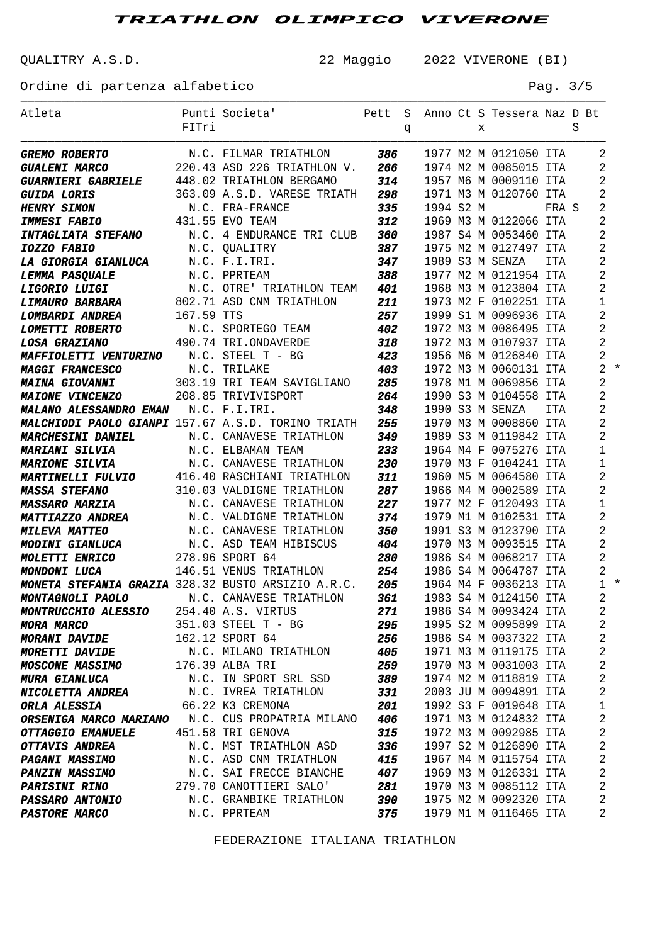QUALITRY A.S.D. 22 Maggio 2022 VIVERONE (BI)

Ordine di partenza alfabetico e e e e e e e e e e e e e e Pag. 3/5

| Atleta                                                                                                                                                                                                            |            | Punti Societa' Pett S Anno Ct S Tessera Naz D Bt             |     |   |           |   |                       |            |   |                |       |
|-------------------------------------------------------------------------------------------------------------------------------------------------------------------------------------------------------------------|------------|--------------------------------------------------------------|-----|---|-----------|---|-----------------------|------------|---|----------------|-------|
|                                                                                                                                                                                                                   | FITri      |                                                              |     | q |           | X |                       |            | S |                |       |
|                                                                                                                                                                                                                   |            |                                                              |     |   |           |   |                       |            |   | 2              |       |
| <b>GREMO ROBERTO</b> M.C. FILMAR TRIATHLON 386 1977 M2 M 0121050 ITA<br><b>GUALENI MARCO</b> 220.43 ASD 226 TRIATHLON V. 266 1974 M2 M 0085015 ITA<br>GUALENI MARCO                                               |            |                                                              |     |   |           |   |                       |            |   | 2              |       |
| <b>GUARNIERI GABRIELE</b> 448.02 TRIATHLON BERGAMO 314                                                                                                                                                            |            |                                                              |     |   |           |   | 1957 M6 M 0009110 ITA |            |   | 2              |       |
| <b>GUIDA LORIS</b>                                                                                                                                                                                                |            | 363.09 A.S.D. VARESE TRIATH 298                              |     |   |           |   | 1971 M3 M 0120760 ITA |            |   | $\overline{2}$ |       |
| <b>HENRY SIMON</b>                                                                                                                                                                                                |            |                                                              | 335 |   | 1994 S2 M |   |                       | FRA S      |   | 2              |       |
| <b>IMMESI FABIO</b>                                                                                                                                                                                               |            | N.C. FRA-FRANCE<br>431.55 EVO TEAM                           | 312 |   |           |   | 1969 M3 M 0122066 ITA |            |   | 2              |       |
| <b>INTAGLIATA STEFANO</b>                                                                                                                                                                                         |            | N.C. 4 ENDURANCE TRI CLUB                                    | 360 |   |           |   | 1987 S4 M 0053460 ITA |            |   | $\overline{2}$ |       |
| <b>IOZZO FABIO</b>                                                                                                                                                                                                |            | N.C. QUALITRY                                                | 387 |   |           |   | 1975 M2 M 0127497 ITA |            |   | $\overline{2}$ |       |
| <b>LA GIORGIA GIANLUCA</b>                                                                                                                                                                                        |            | N.C. F.I.TRI.                                                | 347 |   |           |   | 1989 S3 M SENZA       | ITA        |   | $\overline{2}$ |       |
|                                                                                                                                                                                                                   |            | N.C. PPRTEAM                                                 | 388 |   |           |   | 1977 M2 M 0121954 ITA |            |   | $\overline{2}$ |       |
| <b>LEMMA PASQUALE<br/>LIGORIO LUIGI<br/>LIMAURO BARBARA</b>                                                                                                                                                       |            | N.C. OTRE' TRIATHLON TEAM<br>802.71 ASD CNM TRIATHLON        | 401 |   |           |   | 1968 M3 M 0123804 ITA |            |   | $\overline{2}$ |       |
|                                                                                                                                                                                                                   |            |                                                              | 211 |   |           |   | 1973 M2 F 0102251 ITA |            |   | 1              |       |
| <b>LOMBARDI ANDREA</b>                                                                                                                                                                                            | 167.59 TTS |                                                              | 257 |   |           |   | 1999 S1 M 0096936 ITA |            |   | $\overline{2}$ |       |
| <i><b>LOMETTI ROBERTO</b></i>                                                                                                                                                                                     |            | N.C. SPORTEGO TEAM                                           | 402 |   |           |   | 1972 M3 M 0086495 ITA |            |   | $\overline{2}$ |       |
| <b>LOSA GRAZIANO</b>                                                                                                                                                                                              |            | 490.74 TRI.ONDAVERDE                                         | 318 |   |           |   | 1972 M3 M 0107937 ITA |            |   | $\overline{2}$ |       |
| MAFFIOLETTI VENTURINO N.C. STEEL T - BG                                                                                                                                                                           |            |                                                              | 423 |   |           |   | 1956 M6 M 0126840 ITA |            |   | $\overline{2}$ |       |
| <b>MAGGI FRANCESCO</b>                                                                                                                                                                                            |            | N.C. TRILAKE                                                 | 403 |   |           |   | 1972 M3 M 0060131 ITA |            |   |                | $2 *$ |
| <b>MAINA GIOVANNI</b>                                                                                                                                                                                             |            | N.C. INTERM SAVIGLIANO 285<br>303.19 TRI TEAM SAVIGLIANO 285 |     |   |           |   | 1978 M1 M 0069856 ITA |            |   | $\overline{2}$ |       |
| <b>MAIONE VINCENZO</b>                                                                                                                                                                                            |            | 208.85 TRIVIVISPORT                                          | 264 |   |           |   | 1990 S3 M 0104558 ITA |            |   | $\overline{2}$ |       |
| <b>MALANO ALESSANDRO EMAN N.C. F.I.TRI.</b>                                                                                                                                                                       |            |                                                              | 348 |   |           |   | 1990 S3 M SENZA       | <b>ITA</b> |   | $\overline{2}$ |       |
| MALCHIODI PAOLO GIANPI 157.67 A.S.D. TORINO TRIATH                                                                                                                                                                |            |                                                              | 255 |   |           |   | 1970 M3 M 0008860 ITA |            |   | $\overline{2}$ |       |
| <b>MARCHESINI DANIEL</b>                                                                                                                                                                                          |            | N.C. CANAVESE TRIATHLON                                      | 349 |   |           |   | 1989 S3 M 0119842 ITA |            |   | $\overline{2}$ |       |
| <b>MARIANI SILVIA</b>                                                                                                                                                                                             |            | N.C. ELBAMAN TEAM                                            | 233 |   |           |   | 1964 M4 F 0075276 ITA |            |   | 1              |       |
| <b>MARIONE SILVIA</b>                                                                                                                                                                                             |            | N.C. CANAVESE TRIATHLON                                      | 230 |   |           |   | 1970 M3 F 0104241 ITA |            |   | 1              |       |
| <b>MARTINELLI FULVIO</b> 416.40 RASCHIANI TRIATHLON                                                                                                                                                               |            |                                                              | 311 |   |           |   | 1960 M5 M 0064580 ITA |            |   | $\overline{2}$ |       |
| <b>MASSA STEFANO</b>                                                                                                                                                                                              |            | 310.03 VALDIGNE TRIATHLON                                    | 287 |   |           |   | 1966 M4 M 0002589 ITA |            |   | $\overline{2}$ |       |
| <b>MASSARO MARZIA</b>                                                                                                                                                                                             |            | N.C. CANAVESE TRIATHLON                                      | 227 |   |           |   | 1977 M2 F 0120493 ITA |            |   | 1              |       |
| <b>MATTIAZZO ANDREA</b>                                                                                                                                                                                           |            | N.C. VALDIGNE TRIATHLON                                      | 374 |   |           |   | 1979 M1 M 0102531 ITA |            |   | $\overline{2}$ |       |
| <b>MILEVA MATTEO</b>                                                                                                                                                                                              |            | N.C. CANAVESE TRIATHLON                                      | 350 |   |           |   | 1991 S3 M 0123790 ITA |            |   | $\overline{2}$ |       |
| <b>MODINI GIANLUCA</b> N.C. ASD TEAM HIBISCUS 404<br><b>MOLETTI ENRICO</b> 278.96 SPORT 64 280<br><b>MONDONI LUCA</b> 146.51 VENUS TRIATHLON 254<br><b>MONETA STEFANIA GRAZIA</b> 328.32 BUSTO ARSIZIO A.R.C. 205 |            |                                                              |     |   |           |   | 1970 M3 M 0093515 ITA |            |   | $\overline{2}$ |       |
|                                                                                                                                                                                                                   |            |                                                              |     |   |           |   | 1986 S4 M 0068217 ITA |            |   | $\overline{2}$ |       |
|                                                                                                                                                                                                                   |            |                                                              |     |   |           |   | 1986 S4 M 0064787 ITA |            |   | $\overline{2}$ |       |
|                                                                                                                                                                                                                   |            |                                                              |     |   |           |   | 1964 M4 F 0036213 ITA |            |   |                | $1 *$ |
| <b>MONTAGNOLI PAOLO</b> N.C. CANAVESE TRIATHLON 361                                                                                                                                                               |            |                                                              |     |   |           |   | 1983 S4 M 0124150 ITA |            |   | $2^{\circ}$    |       |
| <b>MONTRUCCHIO ALESSIO</b>                                                                                                                                                                                        |            | 254.40 A.S. VIRTUS                                           | 271 |   |           |   | 1986 S4 M 0093424 ITA |            |   | 2              |       |
| <b>MORA MARCO</b>                                                                                                                                                                                                 |            | 351.03 STEEL T - BG                                          | 295 |   |           |   | 1995 S2 M 0095899 ITA |            |   | 2              |       |
| <b>MORANI DAVIDE</b>                                                                                                                                                                                              |            | 162.12 SPORT 64                                              | 256 |   |           |   | 1986 S4 M 0037322 ITA |            |   | 2              |       |
| <b>MORETTI DAVIDE</b>                                                                                                                                                                                             |            | N.C. MILANO TRIATHLON                                        | 405 |   |           |   | 1971 M3 M 0119175 ITA |            |   | 2              |       |
| <b>MOSCONE MASSIMO</b>                                                                                                                                                                                            |            | 176.39 ALBA TRI                                              | 259 |   |           |   | 1970 M3 M 0031003 ITA |            |   | 2              |       |
| <b>MURA GIANLUCA</b>                                                                                                                                                                                              |            | N.C. IN SPORT SRL SSD                                        | 389 |   |           |   | 1974 M2 M 0118819 ITA |            |   | 2              |       |
| <b>NICOLETTA ANDREA</b>                                                                                                                                                                                           |            | N.C. IVREA TRIATHLON                                         | 331 |   |           |   | 2003 JU M 0094891 ITA |            |   | 2              |       |
| <b>ORLA ALESSIA</b>                                                                                                                                                                                               |            | 66.22 K3 CREMONA                                             | 201 |   |           |   | 1992 S3 F 0019648 ITA |            |   | 1              |       |
| <b>ORSENIGA MARCO MARIANO</b> N.C. CUS PROPATRIA MILANO                                                                                                                                                           |            |                                                              | 406 |   |           |   | 1971 M3 M 0124832 ITA |            |   | 2              |       |
| <b>OTTAGGIO EMANUELE</b>                                                                                                                                                                                          |            | 451.58 TRI GENOVA                                            | 315 |   |           |   | 1972 M3 M 0092985 ITA |            |   | 2              |       |
| <b>OTTAVIS ANDREA</b>                                                                                                                                                                                             |            | N.C. MST TRIATHLON ASD                                       | 336 |   |           |   | 1997 S2 M 0126890 ITA |            |   | 2              |       |
| <b>PAGANI MASSIMO</b>                                                                                                                                                                                             |            | N.C. ASD CNM TRIATHLON                                       | 415 |   |           |   | 1967 M4 M 0115754 ITA |            |   | 2              |       |
| <b>PANZIN MASSIMO</b>                                                                                                                                                                                             |            | N.C. SAI FRECCE BIANCHE                                      | 407 |   |           |   | 1969 M3 M 0126331 ITA |            |   | 2              |       |
| <b>PARISINI RINO</b>                                                                                                                                                                                              |            | 279.70 CANOTTIERI SALO'                                      | 281 |   |           |   | 1970 M3 M 0085112 ITA |            |   | 2              |       |
| <b>PASSARO ANTONIO</b>                                                                                                                                                                                            |            | N.C. GRANBIKE TRIATHLON                                      | 390 |   |           |   | 1975 M2 M 0092320 ITA |            |   | 2              |       |
| <b>PASTORE MARCO</b>                                                                                                                                                                                              |            | N.C. PPRTEAM                                                 | 375 |   |           |   | 1979 M1 M 0116465 ITA |            |   | 2              |       |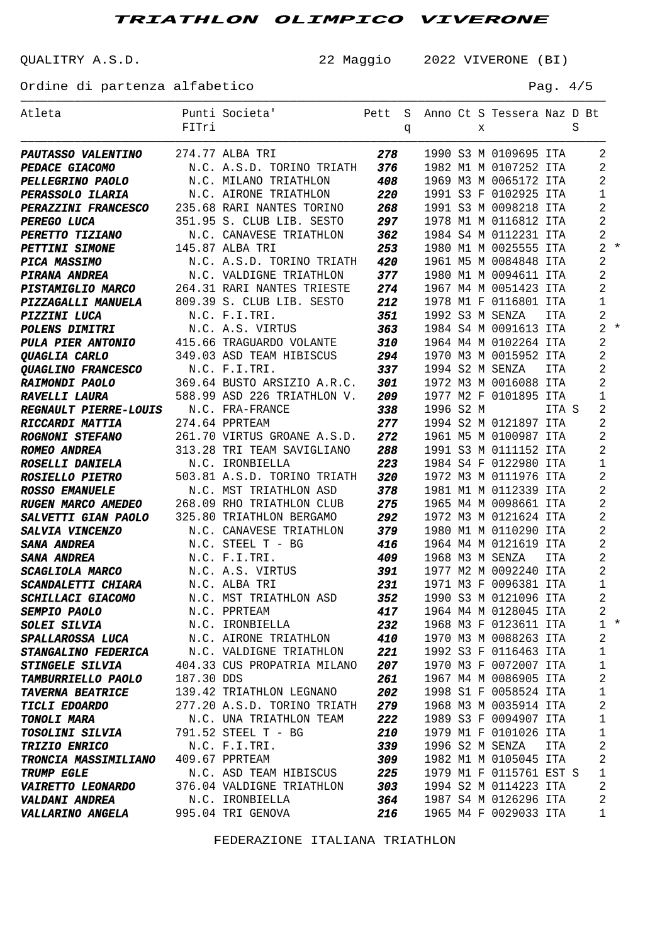QUALITRY A.S.D. 22 Maggio 2022 VIVERONE (BI)

Ordine di partenza alfabetico e e e e e e e e e e e e e e Pag. 4/5

| Atleta                                               |            | Punti Societa'                                   | Pett |   |           |   | S Anno Ct S Tessera Naz D Bt |            |   |                |       |
|------------------------------------------------------|------------|--------------------------------------------------|------|---|-----------|---|------------------------------|------------|---|----------------|-------|
|                                                      | FITri      |                                                  |      | q |           | X |                              |            | S |                |       |
|                                                      |            |                                                  |      |   |           |   |                              |            |   |                |       |
| PAUTASSO VALENTINO 274.77 ALBA TRI                   |            |                                                  | 278  |   |           |   | 1990 S3 M 0109695 ITA        |            |   | 2              |       |
| <b>PEDACE GIACOMO</b>                                |            | N.C. A.S.D. TORINO TRIATH                        | 376  |   |           |   | 1982 M1 M 0107252 ITA        |            |   | 2              |       |
| <b>PELLEGRINO PAOLO</b>                              |            | N.C. MILANO TRIATHLON                            | 408  |   |           |   | 1969 M3 M 0065172 ITA        |            |   | 2              |       |
| <b>PERASSOLO ILARIA</b>                              |            | N.C. AIRONE TRIATHLON                            | 220  |   |           |   | 1991 S3 F 0102925 ITA        |            |   | 1              |       |
| <b>PERAZZINI FRANCESCO</b> 235.68 RARI NANTES TORINO |            |                                                  | 268  |   |           |   | 1991 S3 M 0098218 ITA        |            |   | $\overline{2}$ |       |
| PEREGO LUCA                                          |            | 351.95 S. CLUB LIB. SESTO                        | 297  |   |           |   | 1978 M1 M 0116812 ITA        |            |   | $\overline{2}$ |       |
| <b>PERETTO TIZIANO</b>                               |            | N.C. CANAVESE TRIATHLON                          | 362  |   |           |   | 1984 S4 M 0112231 ITA        |            |   | 2              |       |
| <b>PETTINI SIMONE</b>                                |            | 145.87 ALBA TRI                                  | 253  |   |           |   | 1980 M1 M 0025555 ITA        |            |   |                | $2 *$ |
| <b>PICA MASSIMO</b>                                  |            | N.C. A.S.D. TORINO TRIATH                        | 420  |   |           |   | 1961 M5 M 0084848 ITA        |            |   | $\overline{a}$ |       |
| PIRANA ANDREA                                        |            | N.C. VALDIGNE TRIATHLON                          | 377  |   |           |   | 1980 M1 M 0094611 ITA        |            |   | $\overline{2}$ |       |
| <b>PISTAMIGLIO MARCO</b> 264.31 RARI NANTES TRIESTE  |            |                                                  | 274  |   |           |   | 1967 M4 M 0051423 ITA        |            |   | $\overline{2}$ |       |
| PIZZAGALLI MANUELA 809.39 S. CLUB LIB. SESTO         |            |                                                  | 212  |   |           |   | 1978 M1 F 0116801 ITA        |            |   | $\mathbf{1}$   |       |
| PIZZINI LUCA                                         |            | N.C. F.I.TRI.                                    | 351  |   |           |   | 1992 S3 M SENZA              | <b>ITA</b> |   | $\overline{a}$ |       |
| <b>POLENS DIMITRI</b>                                |            | N.C. A.S. VIRTUS                                 | 363  |   |           |   | 1984 S4 M 0091613 ITA        |            |   |                | $2 *$ |
| PULA PIER ANTONIO 415.66 TRAGUARDO VOLANTE           |            |                                                  | 310  |   |           |   | 1964 M4 M 0102264 ITA        |            |   | $\overline{2}$ |       |
| <b><i>OUAGLIA CARLO</i></b>                          |            | 349.03 ASD TEAM HIBISCUS 294                     |      |   |           |   | 1970 M3 M 0015952 ITA        |            |   | 2              |       |
| <b>QUAGLINO FRANCESCO</b>                            |            | N.C. F.I.TRI.                                    | 337  |   |           |   | 1994 S2 M SENZA              | <b>ITA</b> |   | $\overline{2}$ |       |
| <b>RAIMONDI PAOLO</b>                                |            | 369.64 BUSTO ARSIZIO A.R.C. 301                  |      |   |           |   | 1972 M3 M 0016088 ITA        |            |   | $\overline{2}$ |       |
| RAVELLI LAURA                                        |            | 588.99 ASD 226 TRIATHLON V.                      | 209  |   |           |   | 1977 M2 F 0101895 ITA        |            |   | 1              |       |
| REGNAULT PIERRE-LOUIS N.C. FRA-FRANCE                |            |                                                  | 338  |   | 1996 S2 M |   |                              | ITA S      |   | 2              |       |
| RICCARDI MATTIA                                      |            | 274.64 PPRTEAM                                   | 277  |   |           |   | 1994 S2 M 0121897 ITA        |            |   | 2              |       |
| <b>ROGNONI STEFANO</b>                               |            | 261.70 VIRTUS GROANE A.S.D.                      | 272  |   |           |   | 1961 M5 M 0100987 ITA        |            |   | 2              |       |
| <b>ROMEO ANDREA</b>                                  |            | 313.28 TRI TEAM SAVIGLIANO                       | 288  |   |           |   | 1991 S3 M 0111152 ITA        |            |   | 2              |       |
| <b>ROSELLI DANIELA</b>                               |            | N.C. IRONBIELLA                                  | 223  |   |           |   | 1984 S4 F 0122980 ITA        |            |   | 1              |       |
| <b>ROSIELLO PIETRO</b>                               |            | 503.81 A.S.D. TORINO TRIATH                      | 320  |   |           |   | 1972 M3 M 0111976 ITA        |            |   | $\overline{2}$ |       |
| <b>ROSSO EMANUELE</b>                                |            | N.C. MST TRIATHLON ASD                           | 378  |   |           |   | 1981 M1 M 0112339 ITA        |            |   | $\overline{2}$ |       |
| RUGEN MARCO AMEDEO                                   |            | 268.09 RHO TRIATHLON CLUB                        | 275  |   |           |   | 1965 M4 M 0098661 ITA        |            |   | 2              |       |
| <b>SALVETTI GIAN PAOLO</b>                           |            | 325.80 TRIATHLON BERGAMO                         | 292  |   |           |   | 1972 M3 M 0121624 ITA        |            |   | 2              |       |
| <b>SALVIA VINCENZO</b>                               |            | N.C. CANAVESE TRIATHLON                          | 379  |   |           |   | 1980 M1 M 0110290 ITA        |            |   | 2              |       |
| SANA ANDREA                                          |            | N.C. STEEL T - BG                                | 416  |   |           |   | 1964 M4 M 0121619 ITA        |            |   | 2              |       |
| <b>SANA ANDREA</b>                                   |            | N.C. F.I.TRI.                                    | 409  |   |           |   | 1968 M3 M SENZA              | ITA        |   | $\overline{2}$ |       |
| <b>SCAGLIOLA MARCO</b>                               |            | N.C. A.S. VIRTUS                                 | 391  |   |           |   | 1977 M2 M 0092240 ITA        |            |   | $\overline{2}$ |       |
| SCANDALETTI CHIARA                                   |            | N.C. ALBA TRI                                    | 231  |   |           |   | 1971 M3 F 0096381 ITA        |            |   | 1              |       |
| SCHILLACI GIACOMO                                    |            | N.C. MST TRIATHLON ASD 352 1990 S3 M 0121096 ITA |      |   |           |   |                              |            |   | $\overline{2}$ |       |
| <b>SEMPIO PAOLO</b>                                  |            | N.C. PPRTEAM                                     | 417  |   |           |   | 1964 M4 M 0128045 ITA        |            |   | $\overline{2}$ |       |
| <b>SOLEI SILVIA</b>                                  |            | N.C. IRONBIELLA                                  | 232  |   |           |   | 1968 M3 F 0123611 ITA        |            |   |                | $1 *$ |
| SPALLAROSSA LUCA                                     |            | N.C. AIRONE TRIATHLON                            | 410  |   |           |   | 1970 M3 M 0088263 ITA        |            |   | $\overline{c}$ |       |
| <b>STANGALINO FEDERICA</b>                           |            | N.C. VALDIGNE TRIATHLON                          | 221  |   |           |   | 1992 S3 F 0116463 ITA        |            |   | 1              |       |
| <b>STINGELE SILVIA</b>                               |            | 404.33 CUS PROPATRIA MILANO                      | 207  |   |           |   | 1970 M3 F 0072007 ITA        |            |   | $\mathbf 1$    |       |
| <b>TAMBURRIELLO PAOLO</b>                            | 187.30 DDS |                                                  | 261  |   |           |   | 1967 M4 M 0086905 ITA        |            |   | 2              |       |
| <b>TAVERNA BEATRICE</b>                              |            | 139.42 TRIATHLON LEGNANO                         | 202  |   |           |   | 1998 S1 F 0058524 ITA        |            |   | 1              |       |
| <b>TICLI EDOARDO</b>                                 |            | 277.20 A.S.D. TORINO TRIATH                      | 279  |   |           |   | 1968 M3 M 0035914 ITA        |            |   | 2              |       |
| <b>TONOLI MARA</b>                                   |            | N.C. UNA TRIATHLON TEAM                          | 222  |   |           |   | 1989 S3 F 0094907 ITA        |            |   | 1              |       |
| <b>TOSOLINI SILVIA</b>                               |            | 791.52 STEEL T - BG                              | 210  |   |           |   | 1979 M1 F 0101026 ITA        |            |   | 1              |       |
| <b>TRIZIO ENRICO</b>                                 |            | N.C. F.I.TRI.                                    | 339  |   |           |   | 1996 S2 M SENZA              | ITA        |   | 2              |       |
| <b>TRONCIA MASSIMILIANO</b>                          |            | 409.67 PPRTEAM                                   | 309  |   |           |   | 1982 M1 M 0105045 ITA        |            |   | 2              |       |
| <b>TRUMP EGLE</b>                                    |            | N.C. ASD TEAM HIBISCUS                           | 225  |   |           |   | 1979 M1 F 0115761 EST S      |            |   | $\mathbf{1}$   |       |
| <b>VAIRETTO LEONARDO</b>                             |            | 376.04 VALDIGNE TRIATHLON                        | 303  |   |           |   | 1994 S2 M 0114223 ITA        |            |   | 2              |       |
| <b>VALDANI ANDREA</b>                                |            | N.C. IRONBIELLA                                  | 364  |   |           |   | 1987 S4 M 0126296 ITA        |            |   | 2              |       |
| <b>VALLARINO ANGELA</b>                              |            | 995.04 TRI GENOVA                                | 216  |   |           |   | 1965 M4 F 0029033 ITA        |            |   | 1              |       |
|                                                      |            |                                                  |      |   |           |   |                              |            |   |                |       |